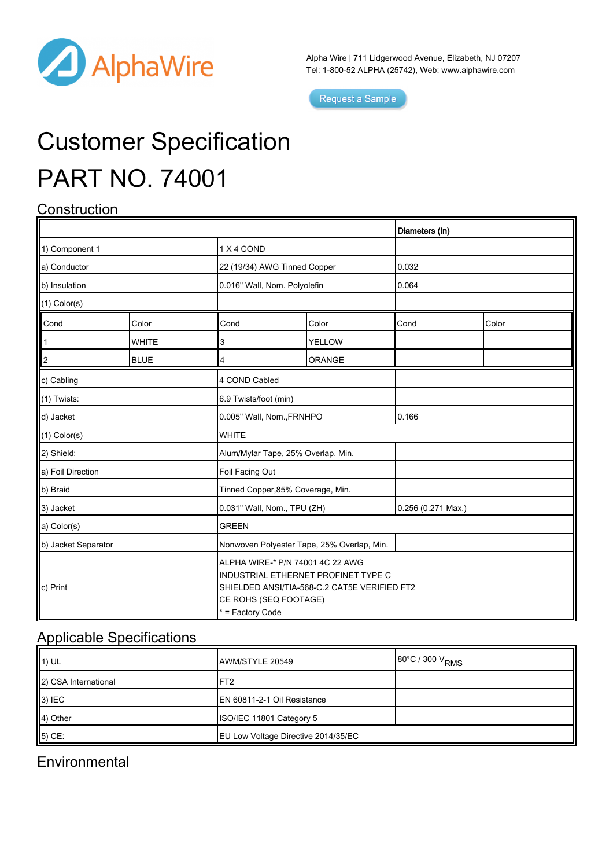

Alpha Wire | 711 Lidgerwood Avenue, Elizabeth, NJ 07207 Tel: 1-800-52 ALPHA (25742), Web: [www.alphawire.com](http://www.alphawire.com)

Request a Sample

# Customer Specification PART NO. 74001

## **Construction**

|                     |              |                                                                                                                                                                      |               | Diameters (In)     |       |
|---------------------|--------------|----------------------------------------------------------------------------------------------------------------------------------------------------------------------|---------------|--------------------|-------|
| 1) Component 1      |              | 1 X 4 COND                                                                                                                                                           |               |                    |       |
| a) Conductor        |              | 22 (19/34) AWG Tinned Copper                                                                                                                                         |               | 0.032              |       |
| b) Insulation       |              | 0.016" Wall, Nom. Polyolefin                                                                                                                                         |               | 0.064              |       |
| $(1)$ Color(s)      |              |                                                                                                                                                                      |               |                    |       |
| Cond                | Color        | Cond                                                                                                                                                                 | Color         | Cond               | Color |
|                     | <b>WHITE</b> | 3                                                                                                                                                                    | <b>YELLOW</b> |                    |       |
| 2                   | <b>BLUE</b>  | 4                                                                                                                                                                    | ORANGE        |                    |       |
| c) Cabling          |              | 4 COND Cabled                                                                                                                                                        |               |                    |       |
| $(1)$ Twists:       |              | 6.9 Twists/foot (min)                                                                                                                                                |               |                    |       |
| d) Jacket           |              | 0.005" Wall, Nom., FRNHPO                                                                                                                                            |               | 0.166              |       |
| $(1)$ Color $(s)$   |              | <b>WHITE</b>                                                                                                                                                         |               |                    |       |
| 2) Shield:          |              | Alum/Mylar Tape, 25% Overlap, Min.                                                                                                                                   |               |                    |       |
| a) Foil Direction   |              | Foil Facing Out                                                                                                                                                      |               |                    |       |
| b) Braid            |              | Tinned Copper, 85% Coverage, Min.                                                                                                                                    |               |                    |       |
| 3) Jacket           |              | 0.031" Wall, Nom., TPU (ZH)                                                                                                                                          |               | 0.256 (0.271 Max.) |       |
| a) Color(s)         |              | <b>GREEN</b>                                                                                                                                                         |               |                    |       |
| b) Jacket Separator |              | Nonwoven Polyester Tape, 25% Overlap, Min.                                                                                                                           |               |                    |       |
| c) Print            |              | ALPHA WIRE-* P/N 74001 4C 22 AWG<br>INDUSTRIAL ETHERNET PROFINET TYPE C<br>SHIELDED ANSI/TIA-568-C.2 CAT5E VERIFIED FT2<br>CE ROHS (SEQ FOOTAGE)<br>* = Factory Code |               |                    |       |

#### Applicable Specifications

| $\parallel$ 1) UL    | AWM/STYLE 20549                     | 80°C / 300 V <sub>RMS</sub> |
|----------------------|-------------------------------------|-----------------------------|
| 2) CSA International | FT <sub>2</sub>                     |                             |
| $ 3\rangle$ IEC      | EN 60811-2-1 Oil Resistance         |                             |
| 4) Other             | ISO/IEC 11801 Category 5            |                             |
| $\vert$ 5) CE:       | EU Low Voltage Directive 2014/35/EC |                             |

#### **Environmental**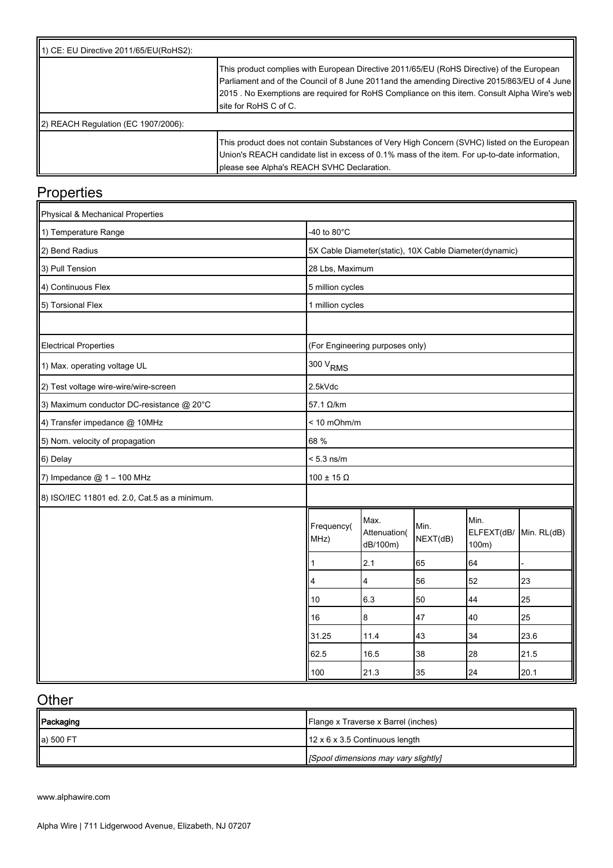| 11) CE: EU Directive 2011/65/EU(RoHS2):         |                                                                                                                                                                                                                                                                                                                      |
|-------------------------------------------------|----------------------------------------------------------------------------------------------------------------------------------------------------------------------------------------------------------------------------------------------------------------------------------------------------------------------|
|                                                 | This product complies with European Directive 2011/65/EU (RoHS Directive) of the European<br>Parliament and of the Council of 8 June 2011and the amending Directive 2015/863/EU of 4 June<br>[2015 . No Exemptions are required for RoHS Compliance on this item. Consult Alpha Wire's web<br>Isite for RoHS C of C. |
| $\parallel$ 2) REACH Regulation (EC 1907/2006): |                                                                                                                                                                                                                                                                                                                      |
|                                                 | This product does not contain Substances of Very High Concern (SVHC) listed on the European<br>Union's REACH candidate list in excess of 0.1% mass of the item. For up-to-date information,<br>please see Alpha's REACH SVHC Declaration.                                                                            |

## **Properties**

| Physical & Mechanical Properties              |                                 |                                  |                  |                                                        |             |
|-----------------------------------------------|---------------------------------|----------------------------------|------------------|--------------------------------------------------------|-------------|
| 1) Temperature Range                          | -40 to $80^{\circ}$ C           |                                  |                  |                                                        |             |
| 2) Bend Radius                                |                                 |                                  |                  | 5X Cable Diameter(static), 10X Cable Diameter(dynamic) |             |
| 3) Pull Tension                               | 28 Lbs, Maximum                 |                                  |                  |                                                        |             |
| 4) Continuous Flex                            | 5 million cycles                |                                  |                  |                                                        |             |
| 5) Torsional Flex                             | 1 million cycles                |                                  |                  |                                                        |             |
|                                               |                                 |                                  |                  |                                                        |             |
| <b>Electrical Properties</b>                  | (For Engineering purposes only) |                                  |                  |                                                        |             |
| 1) Max. operating voltage UL                  | 300 V <sub>RMS</sub>            |                                  |                  |                                                        |             |
| 2) Test voltage wire-wire/wire-screen         | 2.5kVdc                         |                                  |                  |                                                        |             |
| 3) Maximum conductor DC-resistance @ 20°C     | 57.1 Ω/km                       |                                  |                  |                                                        |             |
| 4) Transfer impedance @ 10MHz                 | $< 10$ mOhm/m                   |                                  |                  |                                                        |             |
| 5) Nom. velocity of propagation               | 68 %                            |                                  |                  |                                                        |             |
| 6) Delay                                      | $< 5.3$ ns/m                    |                                  |                  |                                                        |             |
| $\vert$ 7) Impedance $\oslash$ 1 – 100 MHz    | $100 \pm 15 \Omega$             |                                  |                  |                                                        |             |
| 8) ISO/IEC 11801 ed. 2.0, Cat.5 as a minimum. |                                 |                                  |                  |                                                        |             |
|                                               | Frequency(<br>MHz)              | Max.<br>Attenuation(<br>dB/100m) | Min.<br>NEXT(dB) | Min.<br>ELFEXT(dB/<br>100m)                            | Min. RL(dB) |
|                                               | 1                               | 2.1                              | 65               | 64                                                     |             |
|                                               | 4                               | 4                                | 56               | 52                                                     | 23          |
|                                               | 10                              | 6.3                              | 50               | 44                                                     | 25          |
|                                               | 16                              | 8                                | 47               | 40                                                     | 25          |
|                                               | 31.25                           | 11.4                             | 43               | 34                                                     | 23.6        |
|                                               | 62.5                            | 16.5                             | 38               | 28                                                     | 21.5        |
|                                               | 100                             | 21.3                             | 35               | 24                                                     | 20.1        |

## **Other**

| Packaging | Flange x Traverse x Barrel (inches)        |
|-----------|--------------------------------------------|
| a) 500 FT | $12 \times 6 \times 3.5$ Continuous length |
|           | [Spool dimensions may vary slightly]       |

[www.alphawire.com](http://www.alphawire.com)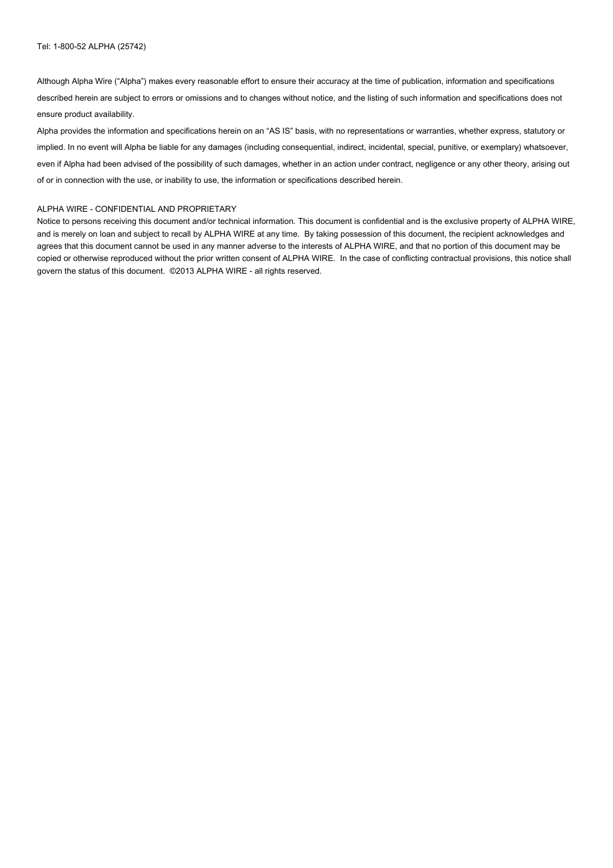Although Alpha Wire ("Alpha") makes every reasonable effort to ensure their accuracy at the time of publication, information and specifications described herein are subject to errors or omissions and to changes without notice, and the listing of such information and specifications does not ensure product availability.

Alpha provides the information and specifications herein on an "AS IS" basis, with no representations or warranties, whether express, statutory or implied. In no event will Alpha be liable for any damages (including consequential, indirect, incidental, special, punitive, or exemplary) whatsoever, even if Alpha had been advised of the possibility of such damages, whether in an action under contract, negligence or any other theory, arising out of or in connection with the use, or inability to use, the information or specifications described herein.

#### ALPHA WIRE - CONFIDENTIAL AND PROPRIETARY

Notice to persons receiving this document and/or technical information. This document is confidential and is the exclusive property of ALPHA WIRE, and is merely on loan and subject to recall by ALPHA WIRE at any time. By taking possession of this document, the recipient acknowledges and agrees that this document cannot be used in any manner adverse to the interests of ALPHA WIRE, and that no portion of this document may be copied or otherwise reproduced without the prior written consent of ALPHA WIRE. In the case of conflicting contractual provisions, this notice shall govern the status of this document. ©2013 ALPHA WIRE - all rights reserved.